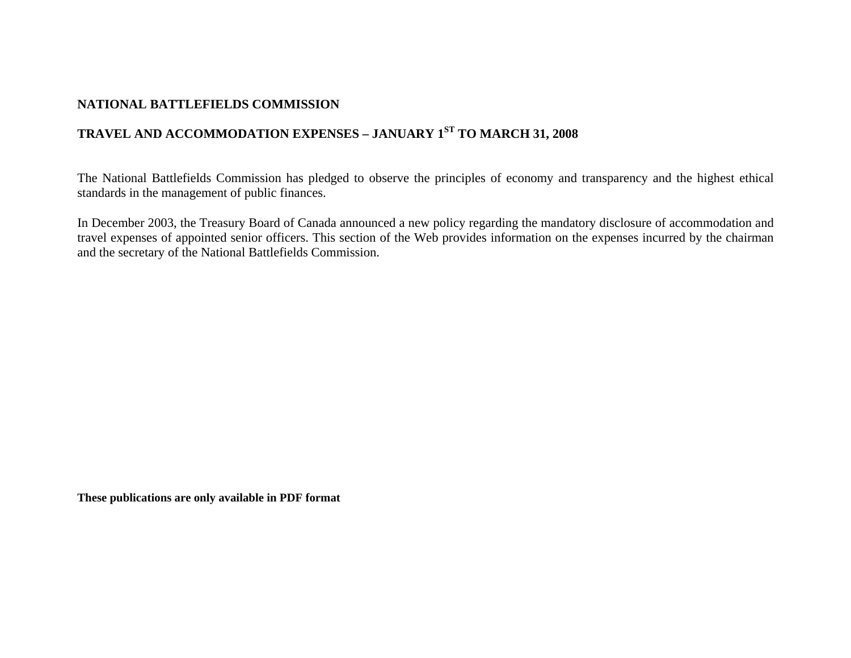## **NATIONAL BATTLEFIELDS COMMISSION**

## **TRAVEL AND ACCOMMODATION EXPENSES – JANUARY 1ST TO MARCH 31, 2008**

The National Battlefields Commission has pledged to observe the principles of economy and transparency and the highest ethical standards in the management of public finances.

In December 2003, the Treasury Board of Canada announced a new policy regarding the mandatory disclosure of accommodation and travel expenses of appointed senior officers. This section of the Web provides information on the expenses incurred by the chairman and the secretary of the National Battlefields Commission.

**These publications are only available in PDF format**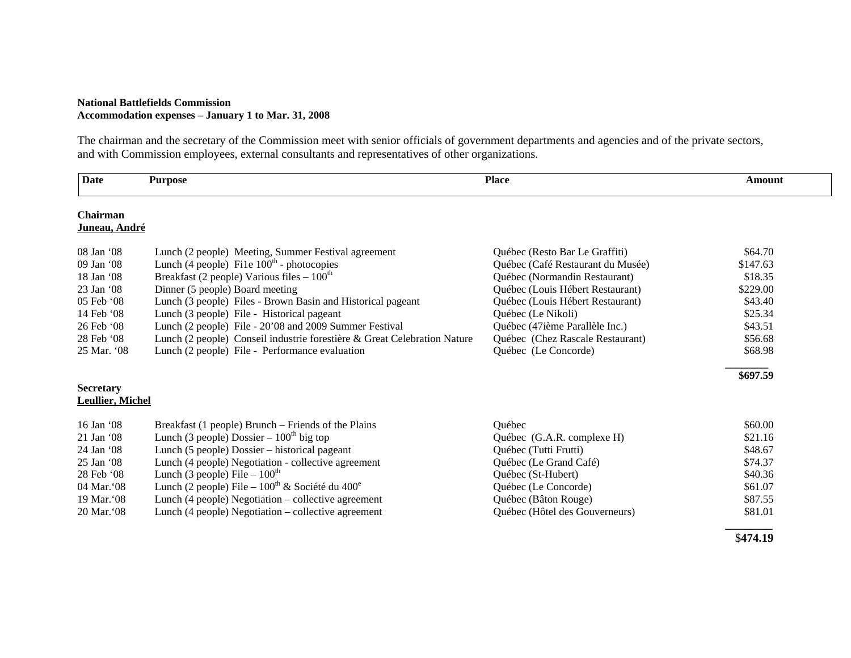## **National Battlefields Commission Accommodation expenses – January 1 to Mar. 31, 2008**

The chairman and the secretary of the Commission meet with senior officials of government departments and agencies and of the private sectors, and with Commission employees, external consultants and representatives of other organizations.

| <b>Date</b>                          | <b>Purpose</b>                                                           | <b>Place</b>                      | Amount   |  |
|--------------------------------------|--------------------------------------------------------------------------|-----------------------------------|----------|--|
| <b>Chairman</b><br>Juneau, André     |                                                                          |                                   |          |  |
| 08 Jan '08                           | Lunch (2 people) Meeting, Summer Festival agreement                      | Québec (Resto Bar Le Graffiti)    | \$64.70  |  |
| 09 Jan '08                           | Lunch (4 people) Fi1e $100th$ - photocopies                              | Québec (Café Restaurant du Musée) | \$147.63 |  |
| 18 Jan '08                           | Breakfast (2 people) Various files $-100th$                              | Québec (Normandin Restaurant)     | \$18.35  |  |
| 23 Jan '08                           | Dinner (5 people) Board meeting                                          | Québec (Louis Hébert Restaurant)  | \$229.00 |  |
| 05 Feb '08                           | Lunch (3 people) Files - Brown Basin and Historical pageant              | Québec (Louis Hébert Restaurant)  | \$43.40  |  |
| 14 Feb '08                           | Lunch (3 people) File - Historical pageant                               | Québec (Le Nikoli)                | \$25.34  |  |
| 26 Feb '08                           | Lunch (2 people) File - 20'08 and 2009 Summer Festival                   | Québec (47ième Parallèle Inc.)    | \$43.51  |  |
| 28 Feb '08                           | Lunch (2 people) Conseil industrie forestière & Great Celebration Nature | Québec (Chez Rascale Restaurant)  | \$56.68  |  |
| 25 Mar. '08                          | Lunch (2 people) File - Performance evaluation                           | Québec (Le Concorde)              | \$68.98  |  |
|                                      |                                                                          |                                   | \$697.59 |  |
| <b>Secretary</b><br>Leullier, Michel |                                                                          |                                   |          |  |
| $16$ Jan $\dot{0}$                   | Breakfast (1 people) Brunch – Friends of the Plains                      | Québec                            | \$60.00  |  |
| 21 Jan '08                           | Lunch (3 people) Dossier $-100^{th}$ big top                             | Québec (G.A.R. complexe H)        | \$21.16  |  |
| 24 Jan '08                           | Lunch (5 people) Dossier – historical pageant                            | Québec (Tutti Frutti)             | \$48.67  |  |
| 25 Jan '08                           | Lunch (4 people) Negotiation - collective agreement                      | Québec (Le Grand Café)            | \$74.37  |  |
| 28 Feb '08                           | Lunch (3 people) File $-100^{\text{th}}$                                 | Québec (St-Hubert)                | \$40.36  |  |
| 04 Mar. 08                           | Lunch (2 people) File – $100^{th}$ & Société du $400^e$                  | Québec (Le Concorde)              | \$61.07  |  |
| 19 Mar. 08                           | Lunch (4 people) Negotiation – collective agreement                      | Québec (Bâton Rouge)              | \$87.55  |  |
| 20 Mar. 08                           | Lunch (4 people) Negotiation – collective agreement                      | Québec (Hôtel des Gouverneurs)    | \$81.01  |  |
|                                      |                                                                          |                                   | \$474.19 |  |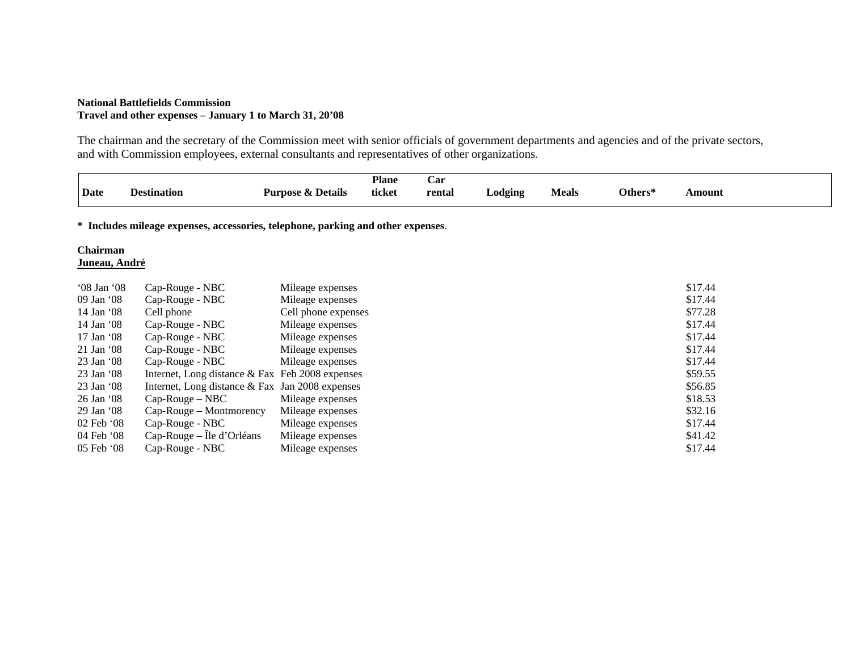## **National Battlefields Commission Travel and other expenses – January 1 to March 31, 20'08**

The chairman and the secretary of the Commission meet with senior officials of government departments and agencies and of the private sectors, and with Commission employees, external consultants and representatives of other organizations.

|                                                                                  |                                                    |                              | <b>Plane</b> | Car    |         |              |         |               |  |
|----------------------------------------------------------------------------------|----------------------------------------------------|------------------------------|--------------|--------|---------|--------------|---------|---------------|--|
| Date                                                                             | <b>Destination</b>                                 | <b>Purpose &amp; Details</b> | ticket       | rental | Lodging | <b>Meals</b> | Others* | <b>Amount</b> |  |
| * Includes mileage expenses, accessories, telephone, parking and other expenses. |                                                    |                              |              |        |         |              |         |               |  |
| Chairman<br><u> Juneau, André</u>                                                |                                                    |                              |              |        |         |              |         |               |  |
| '08 Jan '08                                                                      | Cap-Rouge - NBC                                    | Mileage expenses             |              |        |         |              |         | \$17.44       |  |
| 09 Jan '08                                                                       | Cap-Rouge - NBC                                    | Mileage expenses             |              |        |         |              |         | \$17.44       |  |
| 14 Jan '08                                                                       | Cell phone                                         | Cell phone expenses          |              |        |         |              |         | \$77.28       |  |
| 14 Jan '08                                                                       | Cap-Rouge - NBC                                    | Mileage expenses             |              |        |         |              |         | \$17.44       |  |
| 17 Jan '08                                                                       | Cap-Rouge - NBC                                    | Mileage expenses             |              |        |         |              |         | \$17.44       |  |
| 21 Jan '08                                                                       | Cap-Rouge - NBC                                    | Mileage expenses             |              |        |         |              |         | \$17.44       |  |
| 23 Jan '08                                                                       | Cap-Rouge - NBC                                    | Mileage expenses             |              |        |         |              |         | \$17.44       |  |
| 23 Jan '08                                                                       | Internet, Long distance $\&$ Fax Feb 2008 expenses |                              |              |        |         |              |         | \$59.55       |  |
| 23 Jan '08                                                                       | Internet, Long distance $\&$ Fax Jan 2008 expenses |                              |              |        |         |              |         | \$56.85       |  |
| 26 Jan '08                                                                       | $Cap-Rouge-NBC$                                    | Mileage expenses             |              |        |         |              |         | \$18.53       |  |
| 29 Jan '08                                                                       | Cap-Rouge – Montmorency                            | Mileage expenses             |              |        |         |              |         | \$32.16       |  |
| 02 Feb '08                                                                       | Cap-Rouge - NBC                                    | Mileage expenses             |              |        |         |              |         | \$17.44       |  |
| 04 Feb '08                                                                       | $Cap-Rouge - Île d'Orléans$                        | Mileage expenses             |              |        |         |              |         | \$41.42       |  |
| 05 Feb '08                                                                       | Cap-Rouge - NBC                                    | Mileage expenses             |              |        |         |              |         | \$17.44       |  |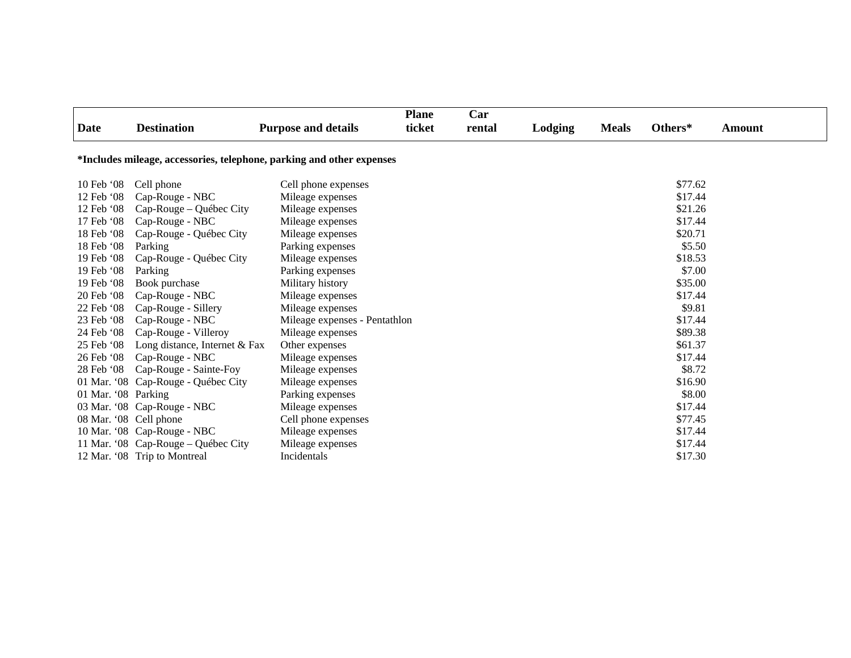|                                                                       |                                     |                               | <b>Plane</b> | Car    |         |              |         |        |
|-----------------------------------------------------------------------|-------------------------------------|-------------------------------|--------------|--------|---------|--------------|---------|--------|
| Date                                                                  | <b>Destination</b>                  | <b>Purpose and details</b>    | ticket       | rental | Lodging | <b>Meals</b> | Others* | Amount |
| *Includes mileage, accessories, telephone, parking and other expenses |                                     |                               |              |        |         |              |         |        |
| 10 Feb '08                                                            | Cell phone                          | Cell phone expenses           |              |        |         |              | \$77.62 |        |
| 12 Feb '08                                                            | Cap-Rouge - NBC                     | Mileage expenses              |              |        |         |              | \$17.44 |        |
| 12 Feb '08                                                            | Cap-Rouge – Québec City             | Mileage expenses              |              |        |         |              | \$21.26 |        |
| 17 Feb '08                                                            | Cap-Rouge - NBC                     | Mileage expenses              |              |        |         |              | \$17.44 |        |
| 18 Feb '08                                                            | Cap-Rouge - Québec City             | Mileage expenses              |              |        |         |              | \$20.71 |        |
| 18 Feb '08                                                            | Parking                             | Parking expenses              |              |        |         |              | \$5.50  |        |
| 19 Feb '08                                                            | Cap-Rouge - Québec City             | Mileage expenses              |              |        |         |              | \$18.53 |        |
| 19 Feb '08                                                            | Parking                             | Parking expenses              |              |        |         |              | \$7.00  |        |
| 19 Feb '08                                                            | Book purchase                       | Military history              |              |        |         |              | \$35.00 |        |
| 20 Feb '08                                                            | Cap-Rouge - NBC                     | Mileage expenses              |              |        |         |              | \$17.44 |        |
| 22 Feb '08                                                            | Cap-Rouge - Sillery                 | Mileage expenses              |              |        |         |              | \$9.81  |        |
| 23 Feb '08                                                            | Cap-Rouge - NBC                     | Mileage expenses - Pentathlon |              |        |         |              | \$17.44 |        |
| 24 Feb '08                                                            | Cap-Rouge - Villeroy                | Mileage expenses              |              |        |         |              | \$89.38 |        |
| 25 Feb '08                                                            | Long distance, Internet & Fax       | Other expenses                |              |        |         |              | \$61.37 |        |
| 26 Feb '08                                                            | Cap-Rouge - NBC                     | Mileage expenses              |              |        |         |              | \$17.44 |        |
| 28 Feb '08                                                            | Cap-Rouge - Sainte-Foy              | Mileage expenses              |              |        |         |              | \$8.72  |        |
|                                                                       | 01 Mar. '08 Cap-Rouge - Québec City | Mileage expenses              |              |        |         |              | \$16.90 |        |
| 01 Mar. '08 Parking                                                   |                                     | Parking expenses              |              |        |         |              | \$8.00  |        |
|                                                                       | 03 Mar. '08 Cap-Rouge - NBC         | Mileage expenses              |              |        |         |              | \$17.44 |        |
| 08 Mar. '08 Cell phone                                                |                                     | Cell phone expenses           |              |        |         |              | \$77.45 |        |
|                                                                       | 10 Mar. '08 Cap-Rouge - NBC         | Mileage expenses              |              |        |         |              | \$17.44 |        |
|                                                                       | 11 Mar. '08 Cap-Rouge - Québec City | Mileage expenses              |              |        |         |              | \$17.44 |        |
|                                                                       | 12 Mar. '08 Trip to Montreal        | Incidentals                   |              |        |         |              | \$17.30 |        |